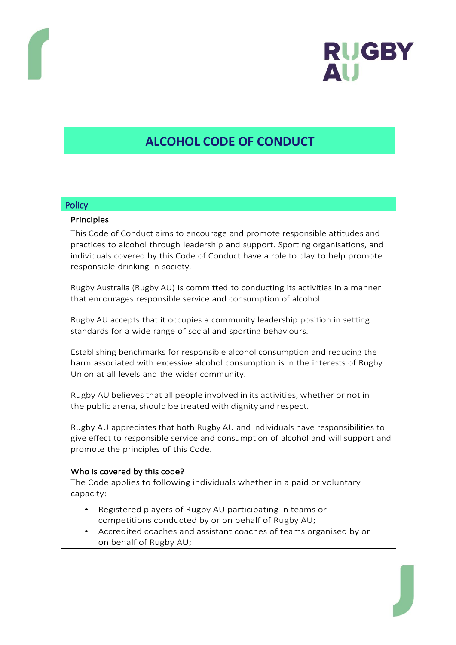

# **ALCOHOL CODE OF CONDUCT**

#### **Policy**

#### Principles

This Code of Conduct aims to encourage and promote responsible attitudes and practices to alcohol through leadership and support. Sporting organisations, and individuals covered by this Code of Conduct have a role to play to help promote responsible drinking in society.

Rugby Australia (Rugby AU) is committed to conducting its activities in a manner that encourages responsible service and consumption of alcohol.

Rugby AU accepts that it occupies a community leadership position in setting standards for a wide range of social and sporting behaviours.

Establishing benchmarks for responsible alcohol consumption and reducing the harm associated with excessive alcohol consumption is in the interests of Rugby Union at all levels and the wider community.

Rugby AU believesthat all people involved in its activities, whether or not in the public arena, should be treated with dignity and respect.

Rugby AU appreciates that both Rugby AU and individuals have responsibilities to give effect to responsible service and consumption of alcohol and will support and promote the principles of this Code.

## Who is covered by this code?

The Code applies to following individuals whether in a paid or voluntary capacity:

- Registered players of Rugby AU participating in teams or competitions conducted by or on behalf of Rugby AU;
- Accredited coaches and assistant coaches of teams organised by or on behalf of Rugby AU;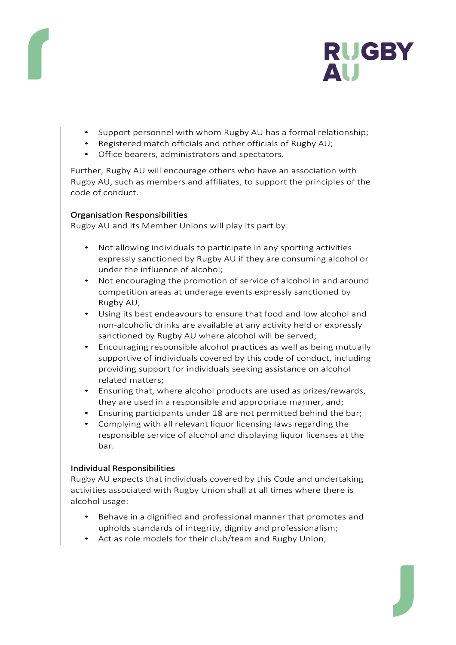

- Support personnel with whom Rugby AU has a formal relationship;
- Registered match officials and other officials of Rugby AU;
- Office bearers, administrators and spectators.

Further, Rugby AU will encourage others who have an association with Rugby AU, such as members and affiliates, to support the principles of the code of conduct.

## Organisation Responsibilities

Rugby AU and its Member Unions will play its part by:

- Not allowing individuals to participate in any sporting activities expressly sanctioned by Rugby AU if they are consuming alcohol or under the influence of alcohol;
- Not encouraging the promotion of service of alcohol in and around competition areas at underage events expressly sanctioned by Rugby AU;
- Using its best endeavours to ensure that food and low alcohol and non-alcoholic drinks are available at any activity held or expressly sanctioned by Rugby AU where alcohol will be served;
- Encouraging responsible alcohol practices as well as being mutually supportive of individuals covered by this code of conduct, including providing support for individuals seeking assistance on alcohol related matters;
- Ensuring that, where alcohol products are used as prizes/rewards, they are used in a responsible and appropriate manner, and;
- Ensuring participants under 18 are not permitted behind the bar;
- Complying with all relevant liquor licensing laws regarding the responsible service of alcohol and displaying liquor licenses at the bar.

## Individual Responsibilities

Rugby AU expects that individuals covered by this Code and undertaking activities associated with Rugby Union shall at all times where there is alcohol usage:

- Behave in a dignified and professional manner that promotes and upholds standards of integrity, dignity and professionalism;
- Act as role models for their club/team and Rugby Union;